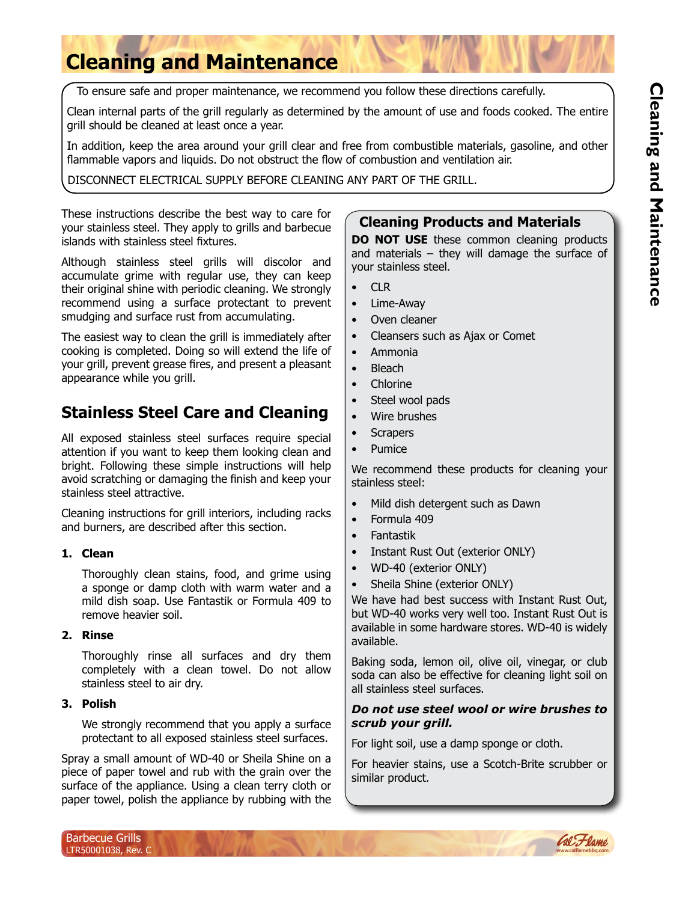# **Cleaning and Maintenance**

To ensure safe and proper maintenance, we recommend you follow these directions carefully.

Clean internal parts of the grill regularly as determined by the amount of use and foods cooked. The entire grill should be cleaned at least once a year.

In addition, keep the area around your grill clear and free from combustible materials, gasoline, and other flammable vapors and liquids. Do not obstruct the flow of combustion and ventilation air.

DISCONNECT ELECTRICAL SUPPLY BEFORE CLEANING ANY PART OF THE GRILL.

These instructions describe the best way to care for your stainless steel. They apply to grills and barbecue islands with stainless steel fixtures.

Although stainless steel grills will discolor and accumulate grime with regular use, they can keep their original shine with periodic cleaning. We strongly recommend using a surface protectant to prevent smudging and surface rust from accumulating.

The easiest way to clean the grill is immediately after cooking is completed. Doing so will extend the life of your grill, prevent grease fires, and present a pleasant appearance while you grill.

# **Stainless Steel Care and Cleaning**

All exposed stainless steel surfaces require special attention if you want to keep them looking clean and bright. Following these simple instructions will help avoid scratching or damaging the finish and keep your stainless steel attractive.

Cleaning instructions for grill interiors, including racks and burners, are described after this section.

#### **1. Clean**

Thoroughly clean stains, food, and grime using a sponge or damp cloth with warm water and a mild dish soap. Use Fantastik or Formula 409 to remove heavier soil.

#### **2. Rinse**

Thoroughly rinse all surfaces and dry them completely with a clean towel. Do not allow stainless steel to air dry.

#### **3. Polish**

We strongly recommend that you apply a surface protectant to all exposed stainless steel surfaces.

Spray a small amount of WD-40 or Sheila Shine on a piece of paper towel and rub with the grain over the surface of the appliance. Using a clean terry cloth or paper towel, polish the appliance by rubbing with the

# **Cleaning Products and Materials**

**DO NOT USE** these common cleaning products and materials – they will damage the surface of your stainless steel.

- CLR
- Lime-Away
- Oven cleaner
- Cleansers such as Ajax or Comet
- Ammonia
- Bleach
- Chlorine
- Steel wool pads
- Wire brushes
- **Scrapers**
- Pumice

We recommend these products for cleaning your stainless steel:

- Mild dish detergent such as Dawn
- Formula 409
- Fantastik
- Instant Rust Out (exterior ONLY)
- WD-40 (exterior ONLY)
- Sheila Shine (exterior ONLY)

We have had best success with Instant Rust Out, but WD-40 works very well too. Instant Rust Out is available in some hardware stores. WD-40 is widely available.

Baking soda, lemon oil, olive oil, vinegar, or club soda can also be effective for cleaning light soil on all stainless steel surfaces.

#### *Do not use steel wool or wire brushes to scrub your grill.*

For light soil, use a damp sponge or cloth.

For heavier stains, use a Scotch-Brite scrubber or similar product.

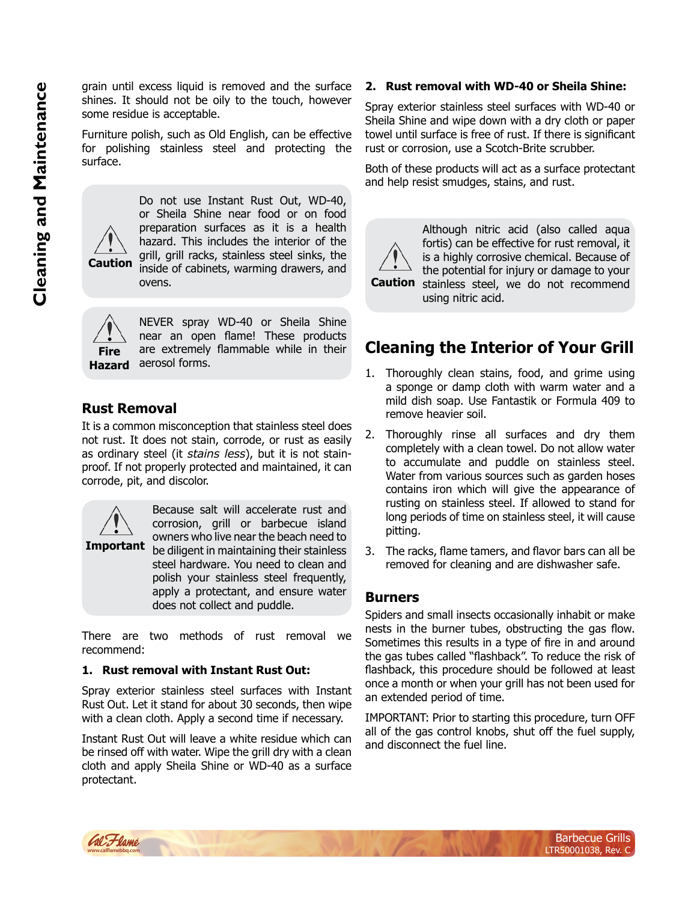grain until excess liquid is removed and the surface shines. It should not be oily to the touch, however some residue is acceptable.

Furniture polish, such as Old English, can be effective for polishing stainless steel and protecting the surface.



Do not use Instant Rust Out, WD-40, or Sheila Shine near food or on food preparation surfaces as it is a health hazard. This includes the interior of the grill, grill racks, stainless steel sinks, the inside of cabinets, warming drawers, and ovens.



**Hazard** aerosol forms. NEVER spray WD-40 or Sheila Shine near an open flame! These products are extremely flammable while in their

# **Rust Removal**

It is a common misconception that stainless steel does not rust. It does not stain, corrode, or rust as easily as ordinary steel (it *stains less*), but it is not stainproof. If not properly protected and maintained, it can corrode, pit, and discolor.



**Important** be diligent in maintaining their stainless Because salt will accelerate rust and corrosion, grill or barbecue island owners who live near the beach need to steel hardware. You need to clean and polish your stainless steel frequently, apply a protectant, and ensure water does not collect and puddle.

There are two methods of rust removal we recommend:

#### **1. Rust removal with Instant Rust Out:**

Spray exterior stainless steel surfaces with Instant Rust Out. Let it stand for about 30 seconds, then wipe with a clean cloth. Apply a second time if necessary.

Instant Rust Out will leave a white residue which can be rinsed off with water. Wipe the grill dry with a clean cloth and apply Sheila Shine or WD-40 as a surface protectant.

#### **2. Rust removal with WD-40 or Sheila Shine:**

Spray exterior stainless steel surfaces with WD-40 or Sheila Shine and wipe down with a dry cloth or paper towel until surface is free of rust. If there is significant rust or corrosion, use a Scotch-Brite scrubber.

Both of these products will act as a surface protectant and help resist smudges, stains, and rust.



**Caution** stainless steel, we do not recommend Although nitric acid (also called aqua fortis) can be effective for rust removal, it is a highly corrosive chemical. Because of the potential for injury or damage to your using nitric acid.

# **Cleaning the Interior of Your Grill**

- 1. Thoroughly clean stains, food, and grime using a sponge or damp cloth with warm water and a mild dish soap. Use Fantastik or Formula 409 to remove heavier soil.
- 2. Thoroughly rinse all surfaces and dry them completely with a clean towel. Do not allow water to accumulate and puddle on stainless steel. Water from various sources such as garden hoses contains iron which will give the appearance of rusting on stainless steel. If allowed to stand for long periods of time on stainless steel, it will cause pitting.
- 3. The racks, flame tamers, and flavor bars can all be removed for cleaning and are dishwasher safe.

# **Burners**

Spiders and small insects occasionally inhabit or make nests in the burner tubes, obstructing the gas flow. Sometimes this results in a type of fire in and around the gas tubes called "flashback". To reduce the risk of flashback, this procedure should be followed at least once a month or when your grill has not been used for an extended period of time.

IMPORTANT: Prior to starting this procedure, turn OFF all of the gas control knobs, shut off the fuel supply, and disconnect the fuel line.